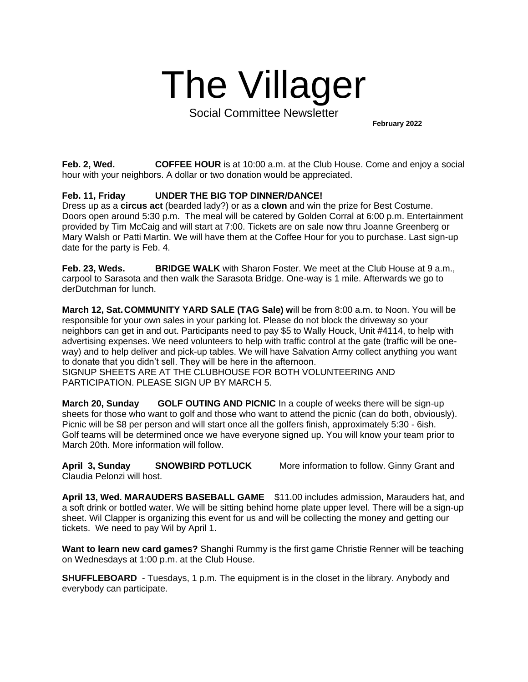## The Villager

Social Committee Newsletter

**February 2022**

**Feb. 2, Wed. COFFEE HOUR** is at 10:00 a.m. at the Club House. Come and enjoy a social hour with your neighbors. A dollar or two donation would be appreciated.

## **Feb. 11, Friday UNDER THE BIG TOP DINNER/DANCE!**

Dress up as a **circus act** (bearded lady?) or as a **clown** and win the prize for Best Costume. Doors open around 5:30 p.m. The meal will be catered by Golden Corral at 6:00 p.m. Entertainment provided by Tim McCaig and will start at 7:00. Tickets are on sale now thru Joanne Greenberg or Mary Walsh or Patti Martin. We will have them at the Coffee Hour for you to purchase. Last sign-up date for the party is Feb. 4.

**Feb. 23, Weds. BRIDGE WALK** with Sharon Foster. We meet at the Club House at 9 a.m., carpool to Sarasota and then walk the Sarasota Bridge. One-way is 1 mile. Afterwards we go to derDutchman for lunch.

**March 12, Sat.COMMUNITY YARD SALE (TAG Sale) w**ill be from 8:00 a.m. to Noon. You will be responsible for your own sales in your parking lot. Please do not block the driveway so your neighbors can get in and out. Participants need to pay \$5 to Wally Houck, Unit #4114, to help with advertising expenses. We need volunteers to help with traffic control at the gate (traffic will be oneway) and to help deliver and pick-up tables. We will have Salvation Army collect anything you want to donate that you didn't sell. They will be here in the afternoon.

SIGNUP SHEETS ARE AT THE CLUBHOUSE FOR BOTH VOLUNTEERING AND PARTICIPATION. PLEASE SIGN UP BY MARCH 5.

**March 20, Sunday GOLF OUTING AND PICNIC** In a couple of weeks there will be sign-up sheets for those who want to golf and those who want to attend the picnic (can do both, obviously). Picnic will be \$8 per person and will start once all the golfers finish, approximately 5:30 - 6ish. Golf teams will be determined once we have everyone signed up. You will know your team prior to March 20th. More information will follow.

**April 3, Sunday SNOWBIRD POTLUCK** More information to follow. Ginny Grant and Claudia Pelonzi will host.

**April 13, Wed. MARAUDERS BASEBALL GAME** \$11.00 includes admission, Marauders hat, and a soft drink or bottled water. We will be sitting behind home plate upper level. There will be a sign-up sheet. Wil Clapper is organizing this event for us and will be collecting the money and getting our tickets. We need to pay Wil by April 1.

**Want to learn new card games?** Shanghi Rummy is the first game Christie Renner will be teaching on Wednesdays at 1:00 p.m. at the Club House.

**SHUFFLEBOARD** - Tuesdays, 1 p.m. The equipment is in the closet in the library. Anybody and everybody can participate.